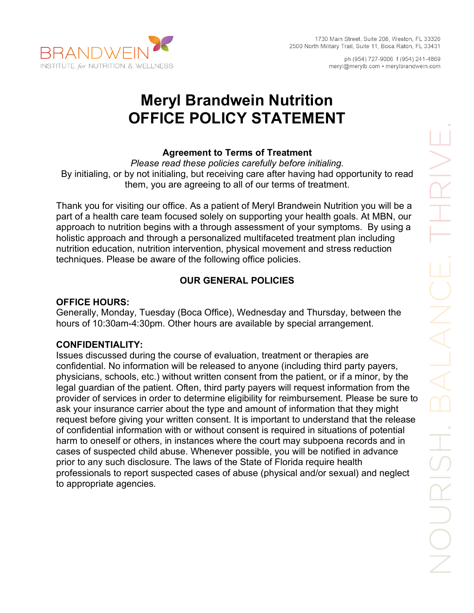

ph (954) 727-9006 f (954) 241-4869 meryl@merylb.com • merylbrandwein.com

# **Meryl Brandwein Nutrition OFFICE POLICY STATEMENT**

# **Agreement to Terms of Treatment**

*Please read these policies carefully before initialing.*  By initialing, or by not initialing, but receiving care after having had opportunity to read them, you are agreeing to all of our terms of treatment.

Thank you for visiting our office. As a patient of Meryl Brandwein Nutrition you will be a part of a health care team focused solely on supporting your health goals. At MBN, our approach to nutrition begins with a through assessment of your symptoms. By using a holistic approach and through a personalized multifaceted treatment plan including nutrition education, nutrition intervention, physical movement and stress reduction techniques. Please be aware of the following office policies.

# **OUR GENERAL POLICIES**

### **OFFICE HOURS:**

**INSTITUTE for NUTRITION & WELLNESS** 

Generally, Monday, Tuesday (Boca Office), Wednesday and Thursday, between the hours of 10:30am-4:30pm. Other hours are available by special arrangement.

# **CONFIDENTIALITY:**

Issues discussed during the course of evaluation, treatment or therapies are confidential. No information will be released to anyone (including third party payers, physicians, schools, etc.) without written consent from the patient, or if a minor, by the legal guardian of the patient. Often, third party payers will request information from the provider of services in order to determine eligibility for reimbursement. Please be sure to ask your insurance carrier about the type and amount of information that they might request before giving your written consent. It is important to understand that the release of confidential information with or without consent is required in situations of potential harm to oneself or others, in instances where the court may subpoena records and in cases of suspected child abuse. Whenever possible, you will be notified in advance prior to any such disclosure. The laws of the State of Florida require health professionals to report suspected cases of abuse (physical and/or sexual) and neglect to appropriate agencies.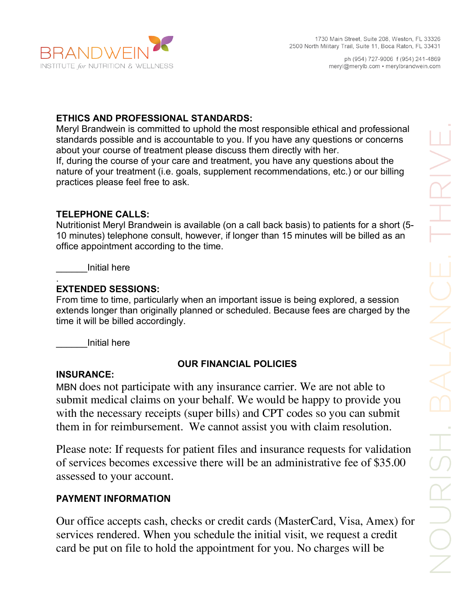

# **ETHICS AND PROFESSIONAL STANDARDS:**

Meryl Brandwein is committed to uphold the most responsible ethical and professional standards possible and is accountable to you. If you have any questions or concerns about your course of treatment please discuss them directly with her. If, during the course of your care and treatment, you have any questions about the nature of your treatment (i.e. goals, supplement recommendations, etc.) or our billing practices please feel free to ask.

#### **TELEPHONE CALLS:**

Nutritionist Meryl Brandwein is available (on a call back basis) to patients for a short (5- 10 minutes) telephone consult, however, if longer than 15 minutes will be billed as an office appointment according to the time.

\_\_\_\_\_\_Initial here

#### . **EXTENDED SESSIONS:**

From time to time, particularly when an important issue is being explored, a session extends longer than originally planned or scheduled. Because fees are charged by the time it will be billed accordingly.

\_\_\_\_\_\_Initial here

# **OUR FINANCIAL POLICIES**

#### **INSURANCE:**

MBN does not participate with any insurance carrier. We are not able to submit medical claims on your behalf. We would be happy to provide you with the necessary receipts (super bills) and CPT codes so you can submit them in for reimbursement. We cannot assist you with claim resolution.

Please note: If requests for patient files and insurance requests for validation of services becomes excessive there will be an administrative fee of \$35.00 assessed to your account.

# **PAYMENT INFORMATION**

Our office accepts cash, checks or credit cards (MasterCard, Visa, Amex) for services rendered. When you schedule the initial visit, we request a credit card be put on file to hold the appointment for you. No charges will be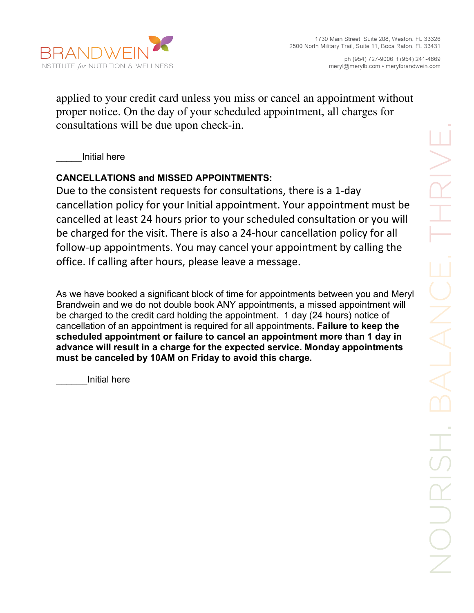

ph (954) 727-9006 f (954) 241-4869 meryl@merylb.com • merylbrandwein.com

applied to your credit card unless you miss or cancel an appointment without proper notice. On the day of your scheduled appointment, all charges for consultations will be due upon check-in.

\_\_\_\_\_Initial here

# **CANCELLATIONS and MISSED APPOINTMENTS:**

Due to the consistent requests for consultations, there is a 1-day cancellation policy for your Initial appointment. Your appointment must be cancelled at least 24 hours prior to your scheduled consultation or you will be charged for the visit. There is also a 24-hour cancellation policy for all follow-up appointments. You may cancel your appointment by calling the office. If calling after hours, please leave a message.

As we have booked a significant block of time for appointments between you and Meryl Brandwein and we do not double book ANY appointments, a missed appointment will be charged to the credit card holding the appointment. 1 day (24 hours) notice of cancellation of an appointment is required for all appointments**. Failure to keep the scheduled appointment or failure to cancel an appointment more than 1 day in advance will result in a charge for the expected service. Monday appointments must be canceled by 10AM on Friday to avoid this charge.**

\_\_\_\_\_\_Initial here